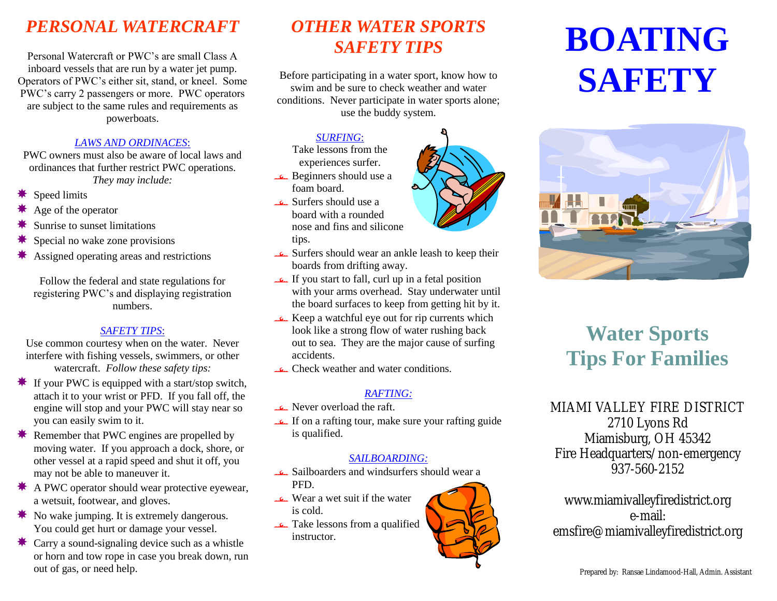# *PERSONAL WATERCRAFT*

Personal Watercraft or PWC's are small Class A inboard vessels that are run by a water jet pump. Operators of PWC's either sit, stand, or kneel. Some PWC's carry 2 passengers or more. PWC operators are subject to the same rules and requirements as powerboats.

#### *LAWS AND ORDINACES*:

PWC owners must also be aware of local laws and ordinances that further restrict PWC operations. *They may include:*

- Speed limits
- Age of the operator
- Sunrise to sunset limitations
- Special no wake zone provisions
- Assigned operating areas and restrictions

Follow the federal and state regulations for registering PWC's and displaying registration numbers.

#### *SAFETY TIPS*:

Use common courtesy when on the water. Never interfere with fishing vessels, swimmers, or other watercraft. *Follow these safety tips:*

- $\cdot$  If your PWC is equipped with a start/stop switch, attach it to your wrist or PFD. If you fall off, the engine will stop and your PWC will stay near so you can easily swim to it.
- Remember that PWC engines are propelled by moving water. If you approach a dock, shore, or other vessel at a rapid speed and shut it off, you may not be able to maneuver it.
- $\text{\textsterling}$  A PWC operator should wear protective eyewear, a wetsuit, footwear, and gloves.
- $\text{\textbullet}$  **No wake jumping. It is extremely dangerous.** You could get hurt or damage your vessel.
- $\star$  Carry a sound-signaling device such as a whistle or horn and tow rope in case you break down, run out of gas, or need help.

# *OTHER WATER SPORTS SAFETY TIPS*

Before participating in a water sport, know how to swim and be sure to check weather and water conditions. Never participate in water sports alone; use the buddy system.

## *SURFING*:

Take lessons from the experiences surfer.

- Beginners should use a foam board.
- Surfers should use a board with a rounded nose and fins and silicone tips.
- Surfers should wear an ankle leash to keep their boards from drifting away.
- If you start to fall, curl up in a fetal position with your arms overhead. Stay underwater until the board surfaces to keep from getting hit by it.
- Keep a watchful eye out for rip currents which look like a strong flow of water rushing back out to sea. They are the major cause of surfing accidents.
- Check weather and water conditions.

### *RAFTING:*

- Never overload the raft.
- If on a rafting tour, make sure your rafting guide is qualified.

#### *SAILBOARDING:*

- Sailboarders and windsurfers should wear a PFD.
- Wear a wet suit if the water is cold.
- Take lessons from a qualified instructor.





# **Water Sports Tips For Families**

MIAMI VALLEY FIRE DISTRICT 2710 Lyons Rd Miamisburg, OH 45342 Fire Headquarters/non-emergency 937-560-2152

www.miamivalleyfiredistrict.org e-mail: emsfire@miamivalleyfiredistrict.org